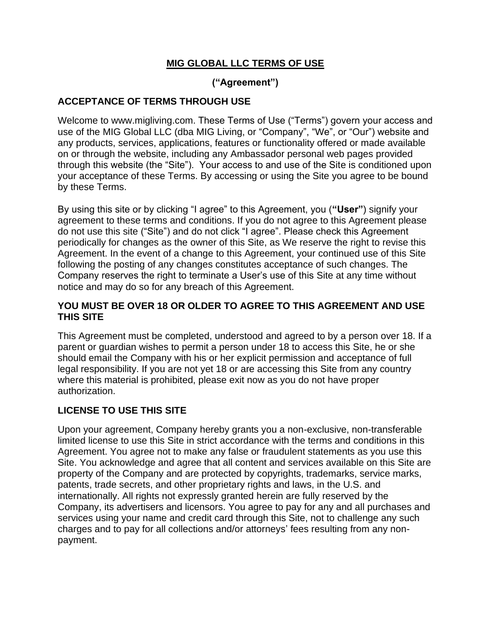## **MIG GLOBAL LLC TERMS OF USE**

# **("Agreement")**

## **ACCEPTANCE OF TERMS THROUGH USE**

Welcome to www.migliving.com. These Terms of Use ("Terms") govern your access and use of the MIG Global LLC (dba MIG Living, or "Company", "We", or "Our") website and any products, services, applications, features or functionality offered or made available on or through the website, including any Ambassador personal web pages provided through this website (the "Site"). Your access to and use of the Site is conditioned upon your acceptance of these Terms. By accessing or using the Site you agree to be bound by these Terms.

By using this site or by clicking "I agree" to this Agreement, you (**"User"**) signify your agreement to these terms and conditions. If you do not agree to this Agreement please do not use this site ("Site") and do not click "I agree". Please check this Agreement periodically for changes as the owner of this Site, as We reserve the right to revise this Agreement. In the event of a change to this Agreement, your continued use of this Site following the posting of any changes constitutes acceptance of such changes. The Company reserves the right to terminate a User's use of this Site at any time without notice and may do so for any breach of this Agreement.

## **YOU MUST BE OVER 18 OR OLDER TO AGREE TO THIS AGREEMENT AND USE THIS SITE**

This Agreement must be completed, understood and agreed to by a person over 18. If a parent or guardian wishes to permit a person under 18 to access this Site, he or she should email the Company with his or her explicit permission and acceptance of full legal responsibility. If you are not yet 18 or are accessing this Site from any country where this material is prohibited, please exit now as you do not have proper authorization.

## **LICENSE TO USE THIS SITE**

Upon your agreement, Company hereby grants you a non-exclusive, non-transferable limited license to use this Site in strict accordance with the terms and conditions in this Agreement. You agree not to make any false or fraudulent statements as you use this Site. You acknowledge and agree that all content and services available on this Site are property of the Company and are protected by copyrights, trademarks, service marks, patents, trade secrets, and other proprietary rights and laws, in the U.S. and internationally. All rights not expressly granted herein are fully reserved by the Company, its advertisers and licensors. You agree to pay for any and all purchases and services using your name and credit card through this Site, not to challenge any such charges and to pay for all collections and/or attorneys' fees resulting from any nonpayment.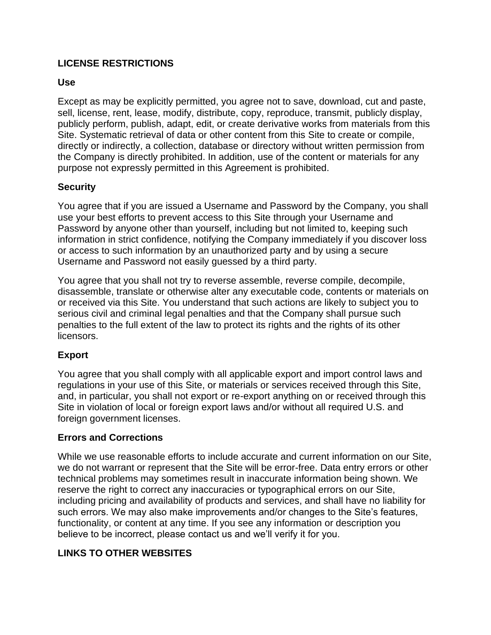## **LICENSE RESTRICTIONS**

#### **Use**

Except as may be explicitly permitted, you agree not to save, download, cut and paste, sell, license, rent, lease, modify, distribute, copy, reproduce, transmit, publicly display, publicly perform, publish, adapt, edit, or create derivative works from materials from this Site. Systematic retrieval of data or other content from this Site to create or compile, directly or indirectly, a collection, database or directory without written permission from the Company is directly prohibited. In addition, use of the content or materials for any purpose not expressly permitted in this Agreement is prohibited.

## **Security**

You agree that if you are issued a Username and Password by the Company, you shall use your best efforts to prevent access to this Site through your Username and Password by anyone other than yourself, including but not limited to, keeping such information in strict confidence, notifying the Company immediately if you discover loss or access to such information by an unauthorized party and by using a secure Username and Password not easily guessed by a third party.

You agree that you shall not try to reverse assemble, reverse compile, decompile, disassemble, translate or otherwise alter any executable code, contents or materials on or received via this Site. You understand that such actions are likely to subject you to serious civil and criminal legal penalties and that the Company shall pursue such penalties to the full extent of the law to protect its rights and the rights of its other licensors.

## **Export**

You agree that you shall comply with all applicable export and import control laws and regulations in your use of this Site, or materials or services received through this Site, and, in particular, you shall not export or re-export anything on or received through this Site in violation of local or foreign export laws and/or without all required U.S. and foreign government licenses.

#### **Errors and Corrections**

While we use reasonable efforts to include accurate and current information on our Site, we do not warrant or represent that the Site will be error-free. Data entry errors or other technical problems may sometimes result in inaccurate information being shown. We reserve the right to correct any inaccuracies or typographical errors on our Site, including pricing and availability of products and services, and shall have no liability for such errors. We may also make improvements and/or changes to the Site's features, functionality, or content at any time. If you see any information or description you believe to be incorrect, please contact us and we'll verify it for you.

## **LINKS TO OTHER WEBSITES**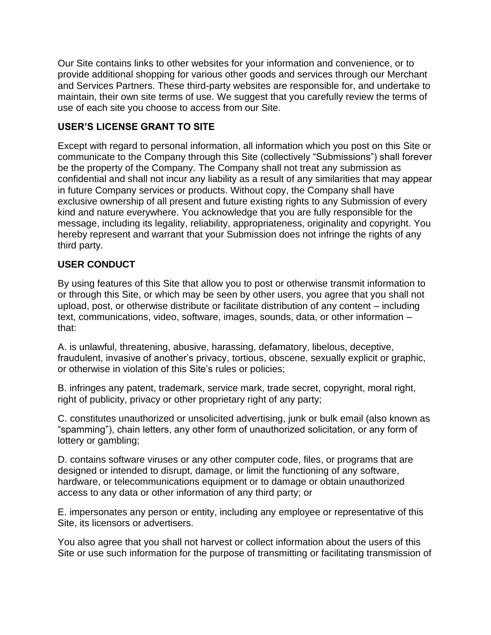Our Site contains links to other websites for your information and convenience, or to provide additional shopping for various other goods and services through our Merchant and Services Partners. These third-party websites are responsible for, and undertake to maintain, their own site terms of use. We suggest that you carefully review the terms of use of each site you choose to access from our Site.

## **USER'S LICENSE GRANT TO SITE**

Except with regard to personal information, all information which you post on this Site or communicate to the Company through this Site (collectively "Submissions") shall forever be the property of the Company. The Company shall not treat any submission as confidential and shall not incur any liability as a result of any similarities that may appear in future Company services or products. Without copy, the Company shall have exclusive ownership of all present and future existing rights to any Submission of every kind and nature everywhere. You acknowledge that you are fully responsible for the message, including its legality, reliability, appropriateness, originality and copyright. You hereby represent and warrant that your Submission does not infringe the rights of any third party.

## **USER CONDUCT**

By using features of this Site that allow you to post or otherwise transmit information to or through this Site, or which may be seen by other users, you agree that you shall not upload, post, or otherwise distribute or facilitate distribution of any content – including text, communications, video, software, images, sounds, data, or other information – that:

A. is unlawful, threatening, abusive, harassing, defamatory, libelous, deceptive, fraudulent, invasive of another's privacy, tortious, obscene, sexually explicit or graphic, or otherwise in violation of this Site's rules or policies;

B. infringes any patent, trademark, service mark, trade secret, copyright, moral right, right of publicity, privacy or other proprietary right of any party;

C. constitutes unauthorized or unsolicited advertising, junk or bulk email (also known as "spamming"), chain letters, any other form of unauthorized solicitation, or any form of lottery or gambling;

D. contains software viruses or any other computer code, files, or programs that are designed or intended to disrupt, damage, or limit the functioning of any software, hardware, or telecommunications equipment or to damage or obtain unauthorized access to any data or other information of any third party; or

E. impersonates any person or entity, including any employee or representative of this Site, its licensors or advertisers.

You also agree that you shall not harvest or collect information about the users of this Site or use such information for the purpose of transmitting or facilitating transmission of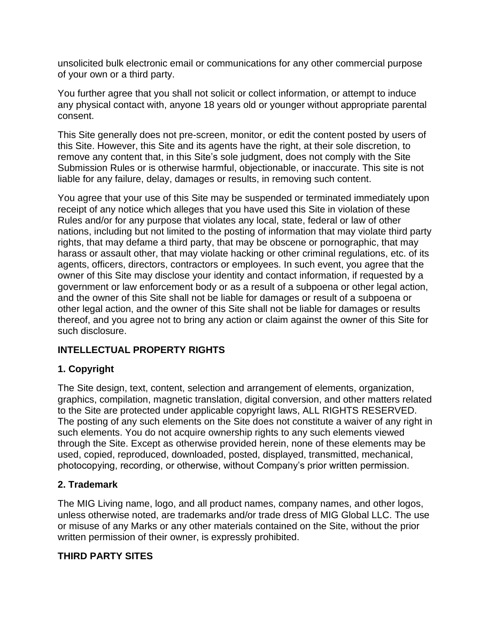unsolicited bulk electronic email or communications for any other commercial purpose of your own or a third party.

You further agree that you shall not solicit or collect information, or attempt to induce any physical contact with, anyone 18 years old or younger without appropriate parental consent.

This Site generally does not pre-screen, monitor, or edit the content posted by users of this Site. However, this Site and its agents have the right, at their sole discretion, to remove any content that, in this Site's sole judgment, does not comply with the Site Submission Rules or is otherwise harmful, objectionable, or inaccurate. This site is not liable for any failure, delay, damages or results, in removing such content.

You agree that your use of this Site may be suspended or terminated immediately upon receipt of any notice which alleges that you have used this Site in violation of these Rules and/or for any purpose that violates any local, state, federal or law of other nations, including but not limited to the posting of information that may violate third party rights, that may defame a third party, that may be obscene or pornographic, that may harass or assault other, that may violate hacking or other criminal regulations, etc. of its agents, officers, directors, contractors or employees. In such event, you agree that the owner of this Site may disclose your identity and contact information, if requested by a government or law enforcement body or as a result of a subpoena or other legal action, and the owner of this Site shall not be liable for damages or result of a subpoena or other legal action, and the owner of this Site shall not be liable for damages or results thereof, and you agree not to bring any action or claim against the owner of this Site for such disclosure.

# **INTELLECTUAL PROPERTY RIGHTS**

# **1. Copyright**

The Site design, text, content, selection and arrangement of elements, organization, graphics, compilation, magnetic translation, digital conversion, and other matters related to the Site are protected under applicable copyright laws, ALL RIGHTS RESERVED. The posting of any such elements on the Site does not constitute a waiver of any right in such elements. You do not acquire ownership rights to any such elements viewed through the Site. Except as otherwise provided herein, none of these elements may be used, copied, reproduced, downloaded, posted, displayed, transmitted, mechanical, photocopying, recording, or otherwise, without Company's prior written permission.

## **2. Trademark**

The MIG Living name, logo, and all product names, company names, and other logos, unless otherwise noted, are trademarks and/or trade dress of MIG Global LLC. The use or misuse of any Marks or any other materials contained on the Site, without the prior written permission of their owner, is expressly prohibited.

# **THIRD PARTY SITES**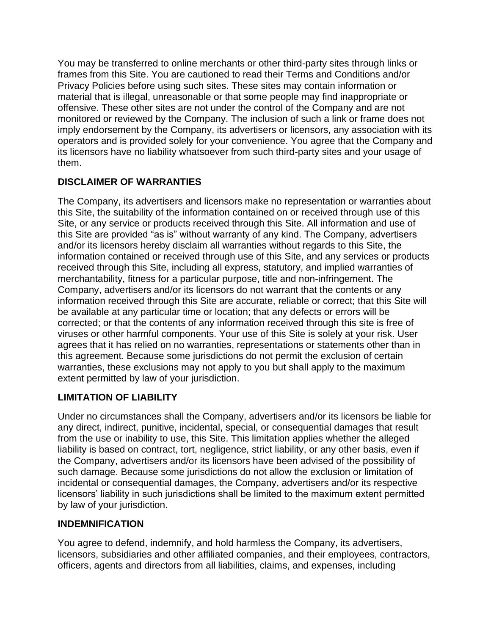You may be transferred to online merchants or other third-party sites through links or frames from this Site. You are cautioned to read their Terms and Conditions and/or Privacy Policies before using such sites. These sites may contain information or material that is illegal, unreasonable or that some people may find inappropriate or offensive. These other sites are not under the control of the Company and are not monitored or reviewed by the Company. The inclusion of such a link or frame does not imply endorsement by the Company, its advertisers or licensors, any association with its operators and is provided solely for your convenience. You agree that the Company and its licensors have no liability whatsoever from such third-party sites and your usage of them.

# **DISCLAIMER OF WARRANTIES**

The Company, its advertisers and licensors make no representation or warranties about this Site, the suitability of the information contained on or received through use of this Site, or any service or products received through this Site. All information and use of this Site are provided "as is" without warranty of any kind. The Company, advertisers and/or its licensors hereby disclaim all warranties without regards to this Site, the information contained or received through use of this Site, and any services or products received through this Site, including all express, statutory, and implied warranties of merchantability, fitness for a particular purpose, title and non-infringement. The Company, advertisers and/or its licensors do not warrant that the contents or any information received through this Site are accurate, reliable or correct; that this Site will be available at any particular time or location; that any defects or errors will be corrected; or that the contents of any information received through this site is free of viruses or other harmful components. Your use of this Site is solely at your risk. User agrees that it has relied on no warranties, representations or statements other than in this agreement. Because some jurisdictions do not permit the exclusion of certain warranties, these exclusions may not apply to you but shall apply to the maximum extent permitted by law of your jurisdiction.

# **LIMITATION OF LIABILITY**

Under no circumstances shall the Company, advertisers and/or its licensors be liable for any direct, indirect, punitive, incidental, special, or consequential damages that result from the use or inability to use, this Site. This limitation applies whether the alleged liability is based on contract, tort, negligence, strict liability, or any other basis, even if the Company, advertisers and/or its licensors have been advised of the possibility of such damage. Because some jurisdictions do not allow the exclusion or limitation of incidental or consequential damages, the Company, advertisers and/or its respective licensors' liability in such jurisdictions shall be limited to the maximum extent permitted by law of your jurisdiction.

## **INDEMNIFICATION**

You agree to defend, indemnify, and hold harmless the Company, its advertisers, licensors, subsidiaries and other affiliated companies, and their employees, contractors, officers, agents and directors from all liabilities, claims, and expenses, including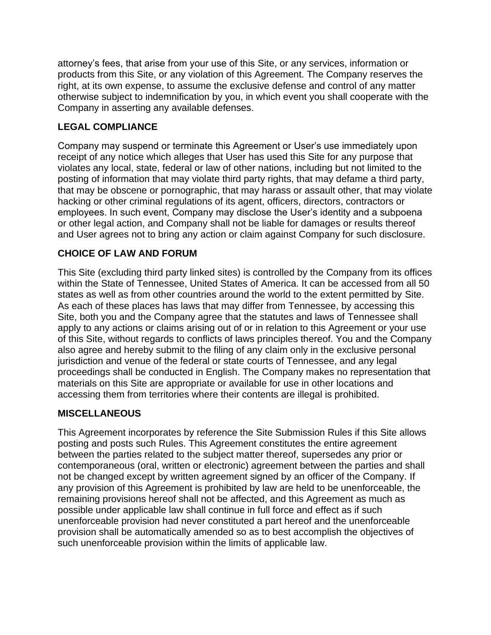attorney's fees, that arise from your use of this Site, or any services, information or products from this Site, or any violation of this Agreement. The Company reserves the right, at its own expense, to assume the exclusive defense and control of any matter otherwise subject to indemnification by you, in which event you shall cooperate with the Company in asserting any available defenses.

## **LEGAL COMPLIANCE**

Company may suspend or terminate this Agreement or User's use immediately upon receipt of any notice which alleges that User has used this Site for any purpose that violates any local, state, federal or law of other nations, including but not limited to the posting of information that may violate third party rights, that may defame a third party, that may be obscene or pornographic, that may harass or assault other, that may violate hacking or other criminal regulations of its agent, officers, directors, contractors or employees. In such event, Company may disclose the User's identity and a subpoena or other legal action, and Company shall not be liable for damages or results thereof and User agrees not to bring any action or claim against Company for such disclosure.

## **CHOICE OF LAW AND FORUM**

This Site (excluding third party linked sites) is controlled by the Company from its offices within the State of Tennessee, United States of America. It can be accessed from all 50 states as well as from other countries around the world to the extent permitted by Site. As each of these places has laws that may differ from Tennessee, by accessing this Site, both you and the Company agree that the statutes and laws of Tennessee shall apply to any actions or claims arising out of or in relation to this Agreement or your use of this Site, without regards to conflicts of laws principles thereof. You and the Company also agree and hereby submit to the filing of any claim only in the exclusive personal jurisdiction and venue of the federal or state courts of Tennessee, and any legal proceedings shall be conducted in English. The Company makes no representation that materials on this Site are appropriate or available for use in other locations and accessing them from territories where their contents are illegal is prohibited.

## **MISCELLANEOUS**

This Agreement incorporates by reference the Site Submission Rules if this Site allows posting and posts such Rules. This Agreement constitutes the entire agreement between the parties related to the subject matter thereof, supersedes any prior or contemporaneous (oral, written or electronic) agreement between the parties and shall not be changed except by written agreement signed by an officer of the Company. If any provision of this Agreement is prohibited by law are held to be unenforceable, the remaining provisions hereof shall not be affected, and this Agreement as much as possible under applicable law shall continue in full force and effect as if such unenforceable provision had never constituted a part hereof and the unenforceable provision shall be automatically amended so as to best accomplish the objectives of such unenforceable provision within the limits of applicable law.